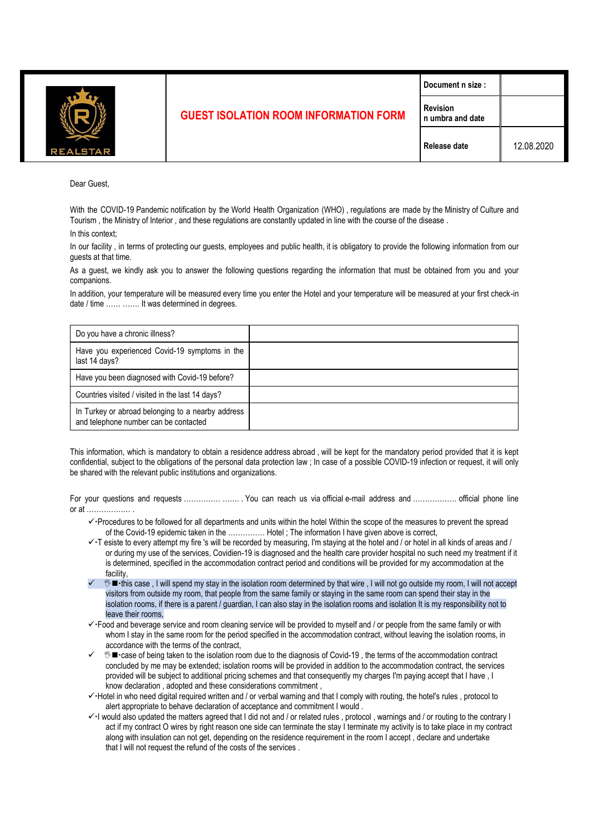

## **GUEST ISOLATION ROOM INFORMATION FORM**

**Revision** 

Dear Guest,

With the COVID-19 Pandemic notification by the World Health Organization (WHO) , regulations are made by the Ministry of Culture and Tourism , the Ministry of Interior , and these regulations are constantly updated in line with the course of the disease .

In this context;

In our facility , in terms of protecting our guests, employees and public health, it is obligatory to provide the following information from our guests at that time.

As a guest, we kindly ask you to answer the following questions regarding the information that must be obtained from you and your companions.

In addition, your temperature will be measured every time you enter the Hotel and your temperature will be measured at your first check-in date / time ...... ....... It was determined in degrees.

| Do you have a chronic illness?                                                             |  |
|--------------------------------------------------------------------------------------------|--|
| Have you experienced Covid-19 symptoms in the<br>last 14 days?                             |  |
| Have you been diagnosed with Covid-19 before?                                              |  |
| Countries visited / visited in the last 14 days?                                           |  |
| In Turkey or abroad belonging to a nearby address<br>and telephone number can be contacted |  |

This information, which is mandatory to obtain a residence address abroad , will be kept for the mandatory period provided that it is kept confidential, subject to the obligations of the personal data protection law ; In case of a possible COVID-19 infection or request, it will only be shared with the relevant public institutions and organizations.

For your questions and requests …………… ……. . You can reach us via official e-mail address and ……………… official phone line  $\alpha$  at  $\ldots$  .

- ✓Procedures to be followed for all departments and units within the hotel Within the scope of the measures to prevent the spread of the Covid-19 epidemic taken in the …………… Hotel ; The information I have given above is correct,
- ✓T esiste to every attempt my fire 's will be recorded by measuring, I'm staying at the hotel and / or hotel in all kinds of areas and / or during my use of the services, Covidien-19 is diagnosed and the health care provider hospital no such need my treatment if it is determined, specified in the accommodation contract period and conditions will be provided for my accommodation at the facility,
- **<sup>₹</sup> ■** this case . I will spend my stay in the isolation room determined by that wire , I will not go outside my room, I will not accept visitors from outside my room, that people from the same family or staying in the same room can spend their stay in the isolation rooms, if there is a parent / guardian, I can also stay in the isolation rooms and isolation It is my responsibility not to leave their rooms,
- ✓Food and beverage service and room cleaning service will be provided to myself and / or people from the same family or with whom I stay in the same room for the period specified in the accommodation contract, without leaving the isolation rooms, in accordance with the terms of the contract,
- **<sup>®</sup> ■** case of being taken to the isolation room due to the diagnosis of Covid-19, the terms of the accommodation contract concluded by me may be extended; isolation rooms will be provided in addition to the accommodation contract, the services provided will be subject to additional pricing schemes and that consequently my charges I'm paying accept that I have , I know declaration , adopted and these considerations commitment ,
- ✓Hotel in who need digital required written and / or verbal warning and that I comply with routing, the hotel's rules , protocol to alert appropriate to behave declaration of acceptance and commitment I would .
- ✓I would also updated the matters agreed that I did not and / or related rules , protocol , warnings and / or routing to the contrary I act if my contract O wires by right reason one side can terminate the stay I terminate my activity is to take place in my contract along with insulation can not get, depending on the residence requirement in the room I accept , declare and undertake that I will not request the refund of the costs of the services .